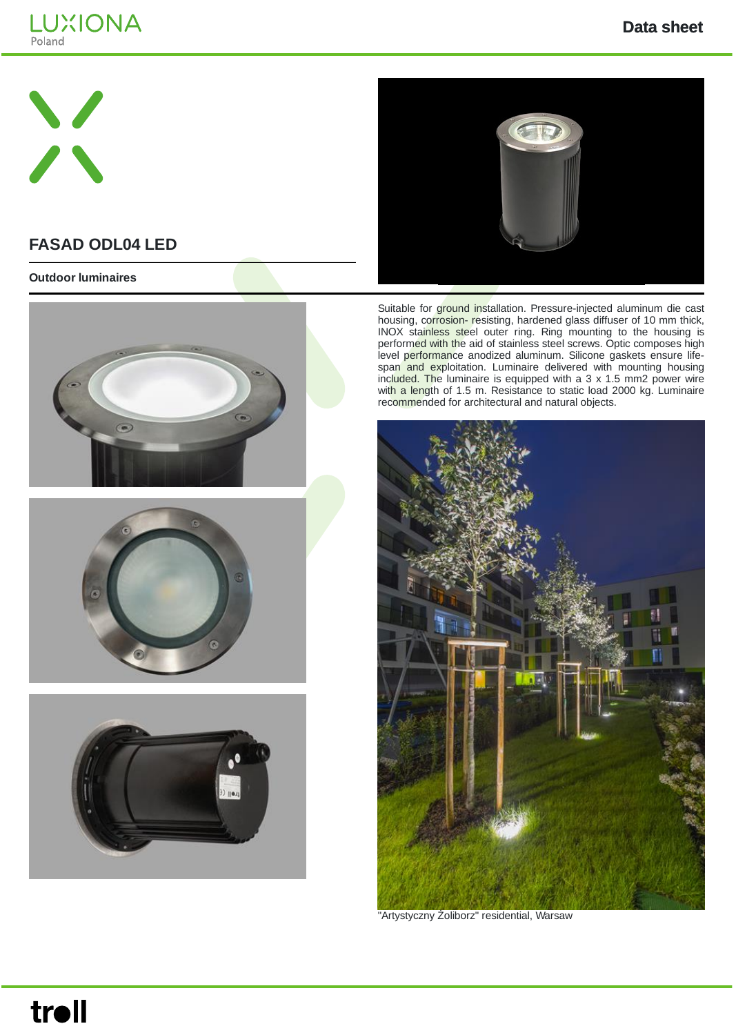





# **FASAD ODL04 LED**

#### **Outdoor luminaires**







Suitable for ground installation. Pressure-injected aluminum die cast housing, corrosion- resisting, hardened glass diffuser of 10 mm thick, INOX stainless steel outer ring. Ring mounting to the housing is performed with the aid of stainless steel screws. Optic composes high level performance anodized aluminum. Silicone gaskets ensure lifespan and exploitation. Luminaire delivered with mounting housing included. The luminaire is equipped with a  $3 \times 1.5$  mm2 power wire with a length of 1.5 m. Resistance to static load 2000 kg. Luminaire recommended for architectural and natural objects.



"Artystyczny Żoliborz" residential, Warsaw